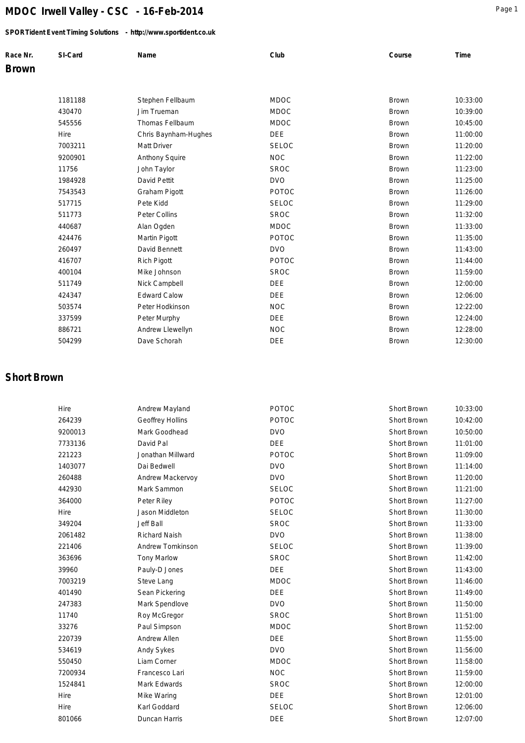### *SPORTident Event Timing Solutions - http://www.sportident.co.uk*

| Race Nr.     | SI-Card | Name | Club | Course | Time |
|--------------|---------|------|------|--------|------|
| <b>Brown</b> |         |      |      |        |      |

| 1181188 | Stephen Fellbaum     | <b>MDOC</b>  | <b>Brown</b> | 10:33:00 |
|---------|----------------------|--------------|--------------|----------|
| 430470  | Jim Trueman          | <b>MDOC</b>  | <b>Brown</b> | 10:39:00 |
| 545556  | Thomas Fellbaum      | <b>MDOC</b>  | <b>Brown</b> | 10:45:00 |
| Hire    | Chris Baynham-Hughes | <b>DEE</b>   | <b>Brown</b> | 11:00:00 |
| 7003211 | Matt Driver          | <b>SELOC</b> | <b>Brown</b> | 11:20:00 |
| 9200901 | Anthony Squire       | <b>NOC</b>   | <b>Brown</b> | 11:22:00 |
| 11756   | John Taylor          | <b>SROC</b>  | <b>Brown</b> | 11:23:00 |
| 1984928 | David Pettit         | <b>DVO</b>   | Brown        | 11:25:00 |
| 7543543 | Graham Pigott        | <b>POTOC</b> | <b>Brown</b> | 11:26:00 |
| 517715  | Pete Kidd            | <b>SELOC</b> | Brown        | 11:29:00 |
| 511773  | Peter Collins        | <b>SROC</b>  | <b>Brown</b> | 11:32:00 |
| 440687  | Alan Ogden           | <b>MDOC</b>  | <b>Brown</b> | 11:33:00 |
| 424476  | Martin Pigott        | <b>POTOC</b> | <b>Brown</b> | 11:35:00 |
| 260497  | David Bennett        | <b>DVO</b>   | <b>Brown</b> | 11:43:00 |
| 416707  | <b>Rich Pigott</b>   | <b>POTOC</b> | Brown        | 11:44:00 |
| 400104  | Mike Johnson         | <b>SROC</b>  | <b>Brown</b> | 11:59:00 |
| 511749  | Nick Campbell        | <b>DEE</b>   | <b>Brown</b> | 12:00:00 |
| 424347  | <b>Edward Calow</b>  | DEE          | <b>Brown</b> | 12:06:00 |
| 503574  | Peter Hodkinson      | <b>NOC</b>   | <b>Brown</b> | 12:22:00 |
| 337599  | Peter Murphy         | DEE          | <b>Brown</b> | 12:24:00 |
| 886721  | Andrew Llewellyn     | <b>NOC</b>   | Brown        | 12:28:00 |
| 504299  | Dave Schorah         | <b>DEE</b>   | <b>Brown</b> | 12:30:00 |

## **Short Brown**

| Hire    | Andrew Mayland          | <b>POTOC</b> | Short Brown        | 10:33:00 |
|---------|-------------------------|--------------|--------------------|----------|
| 264239  | <b>Geoffrey Hollins</b> | <b>POTOC</b> | Short Brown        | 10:42:00 |
| 9200013 | Mark Goodhead           | <b>DVO</b>   | Short Brown        | 10:50:00 |
| 7733136 | David Pal               | <b>DEE</b>   | Short Brown        | 11:01:00 |
| 221223  | Jonathan Millward       | <b>POTOC</b> | Short Brown        | 11:09:00 |
| 1403077 | Dai Bedwell             | <b>DVO</b>   | Short Brown        | 11:14:00 |
| 260488  | Andrew Mackervoy        | <b>DVO</b>   | <b>Short Brown</b> | 11:20:00 |
| 442930  | Mark Sammon             | <b>SELOC</b> | Short Brown        | 11:21:00 |
| 364000  | Peter Riley             | POTOC        | Short Brown        | 11:27:00 |
| Hire    | Jason Middleton         | <b>SELOC</b> | <b>Short Brown</b> | 11:30:00 |
| 349204  | <b>Jeff Ball</b>        | <b>SROC</b>  | Short Brown        | 11:33:00 |
| 2061482 | <b>Richard Naish</b>    | <b>DVO</b>   | Short Brown        | 11:38:00 |
| 221406  | Andrew Tomkinson        | <b>SELOC</b> | Short Brown        | 11:39:00 |
| 363696  | <b>Tony Marlow</b>      | <b>SROC</b>  | Short Brown        | 11:42:00 |
| 39960   | Pauly-D Jones           | <b>DEE</b>   | Short Brown        | 11:43:00 |
| 7003219 | Steve Lang              | <b>MDOC</b>  | Short Brown        | 11:46:00 |
| 401490  | Sean Pickering          | DEE          | Short Brown        | 11:49:00 |
| 247383  | Mark Spendlove          | <b>DVO</b>   | Short Brown        | 11:50:00 |
| 11740   | Roy McGregor            | <b>SROC</b>  | Short Brown        | 11:51:00 |
| 33276   | Paul Simpson            | <b>MDOC</b>  | <b>Short Brown</b> | 11:52:00 |
| 220739  | Andrew Allen            | <b>DEE</b>   | Short Brown        | 11:55:00 |
| 534619  | Andy Sykes              | <b>DVO</b>   | Short Brown        | 11:56:00 |
| 550450  | Liam Corner             | <b>MDOC</b>  | Short Brown        | 11:58:00 |
| 7200934 | Francesco Lari          | <b>NOC</b>   | Short Brown        | 11:59:00 |
| 1524841 | Mark Edwards            | <b>SROC</b>  | Short Brown        | 12:00:00 |
| Hire    | Mike Waring             | <b>DEE</b>   | Short Brown        | 12:01:00 |
| Hire    | Karl Goddard            | <b>SELOC</b> | Short Brown        | 12:06:00 |
| 801066  | Duncan Harris           | <b>DEE</b>   | Short Brown        | 12:07:00 |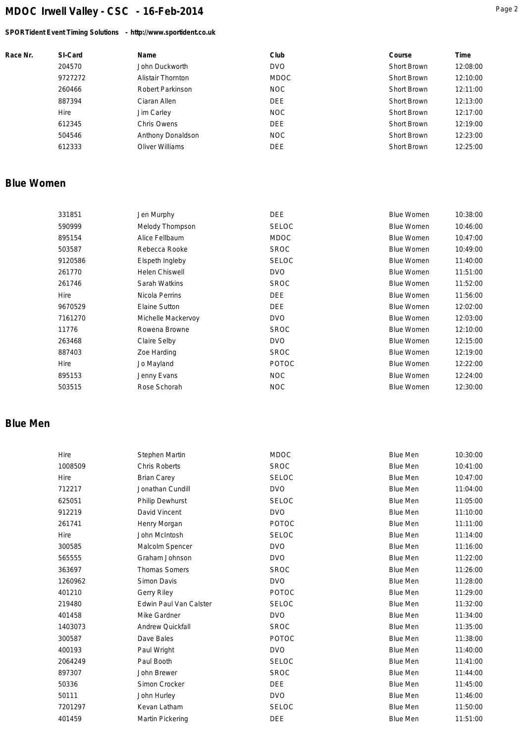### *SPORTident Event Timing Solutions - http://www.sportident.co.uk*

| Race Nr. | SI-Card | Name                     | Club        | Course      | Time     |
|----------|---------|--------------------------|-------------|-------------|----------|
|          | 204570  | John Duckworth           | <b>DVO</b>  | Short Brown | 12:08:00 |
|          | 9727272 | <b>Alistair Thornton</b> | <b>MDOC</b> | Short Brown | 12:10:00 |
|          | 260466  | Robert Parkinson         | <b>NOC</b>  | Short Brown | 12:11:00 |
|          | 887394  | Ciaran Allen             | <b>DEE</b>  | Short Brown | 12:13:00 |
|          | Hire    | Jim Carley               | NOC         | Short Brown | 12:17:00 |
|          | 612345  | Chris Owens              | <b>DEE</b>  | Short Brown | 12:19:00 |
|          | 504546  | Anthony Donaldson        | NOC         | Short Brown | 12:23:00 |
|          | 612333  | Oliver Williams          | <b>DEE</b>  | Short Brown | 12:25:00 |

### **Blue Women**

| 331851  | Jen Murphy            | <b>DEE</b>   | <b>Blue Women</b> | 10:38:00 |
|---------|-----------------------|--------------|-------------------|----------|
| 590999  | Melody Thompson       | <b>SELOC</b> | <b>Blue Women</b> | 10:46:00 |
| 895154  | Alice Fellbaum        | <b>MDOC</b>  | <b>Blue Women</b> | 10:47:00 |
| 503587  | Rebecca Rooke         | <b>SROC</b>  | <b>Blue Women</b> | 10:49:00 |
| 9120586 | Elspeth Ingleby       | <b>SELOC</b> | <b>Blue Women</b> | 11:40:00 |
| 261770  | <b>Helen Chiswell</b> | DVO          | <b>Blue Women</b> | 11:51:00 |
| 261746  | Sarah Watkins         | <b>SROC</b>  | <b>Blue Women</b> | 11:52:00 |
| Hire    | Nicola Perrins        | DEE.         | <b>Blue Women</b> | 11:56:00 |
| 9670529 | Elaine Sutton         | <b>DEE</b>   | <b>Blue Women</b> | 12:02:00 |
| 7161270 | Michelle Mackervoy    | DVO          | <b>Blue Women</b> | 12:03:00 |
| 11776   | Rowena Browne         | <b>SROC</b>  | <b>Blue Women</b> | 12:10:00 |
| 263468  | Claire Selby          | DVO          | <b>Blue Women</b> | 12:15:00 |
| 887403  | Zoe Harding           | <b>SROC</b>  | <b>Blue Women</b> | 12:19:00 |
| Hire    | Jo Mayland            | <b>POTOC</b> | <b>Blue Women</b> | 12:22:00 |
| 895153  | Jenny Evans           | NOC          | <b>Blue Women</b> | 12:24:00 |
| 503515  | Rose Schorah          | NOC.         | <b>Blue Women</b> | 12:30:00 |
|         |                       |              |                   |          |

## **Blue Men**

| Hire    | Stephen Martin                | <b>MDOC</b>  | <b>Blue Men</b> | 10:30:00 |
|---------|-------------------------------|--------------|-----------------|----------|
| 1008509 | <b>Chris Roberts</b>          | <b>SROC</b>  | <b>Blue Men</b> | 10:41:00 |
| Hire    | <b>Brian Carey</b>            | <b>SELOC</b> | Blue Men        | 10:47:00 |
| 712217  | Jonathan Cundill              | <b>DVO</b>   | <b>Blue Men</b> | 11:04:00 |
| 625051  | Philip Dewhurst               | <b>SELOC</b> | <b>Blue Men</b> | 11:05:00 |
| 912219  | David Vincent                 | <b>DVO</b>   | <b>Blue Men</b> | 11:10:00 |
| 261741  | Henry Morgan                  | <b>POTOC</b> | Blue Men        | 11:11:00 |
| Hire    | John McIntosh                 | <b>SELOC</b> | Blue Men        | 11:14:00 |
| 300585  | Malcolm Spencer               | <b>DVO</b>   | <b>Blue Men</b> | 11:16:00 |
| 565555  | Graham Johnson                | <b>DVO</b>   | <b>Blue Men</b> | 11:22:00 |
| 363697  | <b>Thomas Somers</b>          | <b>SROC</b>  | Blue Men        | 11:26:00 |
| 1260962 | Simon Davis                   | <b>DVO</b>   | Blue Men        | 11:28:00 |
| 401210  | <b>Gerry Riley</b>            | POTOC        | <b>Blue Men</b> | 11:29:00 |
| 219480  | <b>Edwin Paul Van Calster</b> | <b>SELOC</b> | <b>Blue Men</b> | 11:32:00 |
| 401458  | Mike Gardner                  | <b>DVO</b>   | <b>Blue Men</b> | 11:34:00 |
| 1403073 | Andrew Quickfall              | <b>SROC</b>  | Blue Men        | 11:35:00 |
| 300587  | Dave Bales                    | <b>POTOC</b> | <b>Blue Men</b> | 11:38:00 |
| 400193  | Paul Wright                   | <b>DVO</b>   | <b>Blue Men</b> | 11:40:00 |
| 2064249 | Paul Booth                    | <b>SELOC</b> | <b>Blue Men</b> | 11:41:00 |
| 897307  | John Brewer                   | <b>SROC</b>  | Blue Men        | 11:44:00 |
| 50336   | Simon Crocker                 | <b>DEE</b>   | Blue Men        | 11:45:00 |
| 50111   | John Hurley                   | <b>DVO</b>   | <b>Blue Men</b> | 11:46:00 |
| 7201297 | Kevan Latham                  | <b>SELOC</b> | <b>Blue Men</b> | 11:50:00 |
| 401459  | Martin Pickering              | <b>DEE</b>   | <b>Blue Men</b> | 11:51:00 |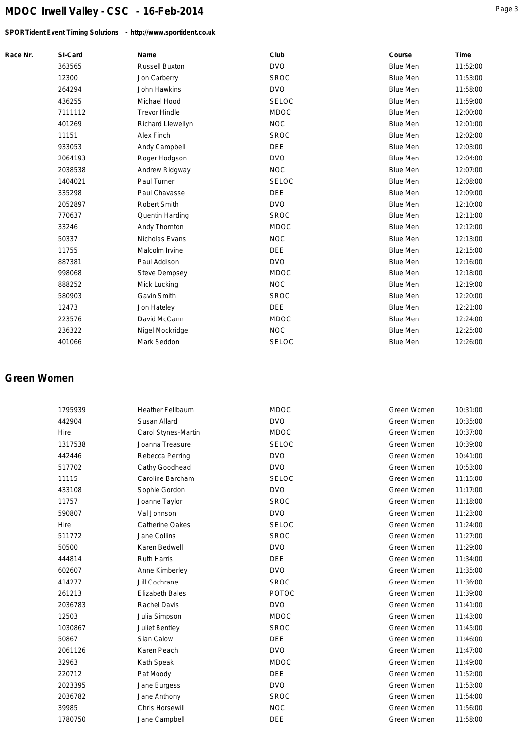*SPORTident Event Timing Solutions - http://www.sportident.co.uk*

| Race Nr. | SI-Card | Name                  | Club         | Course          | Time     |
|----------|---------|-----------------------|--------------|-----------------|----------|
|          | 363565  | <b>Russell Buxton</b> | <b>DVO</b>   | <b>Blue Men</b> | 11:52:00 |
|          | 12300   | Jon Carberry          | <b>SROC</b>  | <b>Blue Men</b> | 11:53:00 |
|          | 264294  | John Hawkins          | <b>DVO</b>   | <b>Blue Men</b> | 11:58:00 |
|          | 436255  | Michael Hood          | <b>SELOC</b> | <b>Blue Men</b> | 11:59:00 |
|          | 7111112 | <b>Trevor Hindle</b>  | <b>MDOC</b>  | <b>Blue Men</b> | 12:00:00 |
|          | 401269  | Richard Llewellyn     | <b>NOC</b>   | <b>Blue Men</b> | 12:01:00 |
|          | 11151   | Alex Finch            | <b>SROC</b>  | <b>Blue Men</b> | 12:02:00 |
|          | 933053  | Andy Campbell         | <b>DEE</b>   | <b>Blue Men</b> | 12:03:00 |
|          | 2064193 | Roger Hodgson         | <b>DVO</b>   | <b>Blue Men</b> | 12:04:00 |
|          | 2038538 | Andrew Ridgway        | <b>NOC</b>   | <b>Blue Men</b> | 12:07:00 |
|          | 1404021 | Paul Turner           | <b>SELOC</b> | <b>Blue Men</b> | 12:08:00 |
|          | 335298  | Paul Chavasse         | <b>DEE</b>   | <b>Blue Men</b> | 12:09:00 |
|          | 2052897 | <b>Robert Smith</b>   | <b>DVO</b>   | <b>Blue Men</b> | 12:10:00 |
|          | 770637  | Quentin Harding       | <b>SROC</b>  | <b>Blue Men</b> | 12:11:00 |
|          | 33246   | Andy Thornton         | <b>MDOC</b>  | <b>Blue Men</b> | 12:12:00 |
|          | 50337   | Nicholas Evans        | <b>NOC</b>   | <b>Blue Men</b> | 12:13:00 |
|          | 11755   | Malcolm Irvine        | <b>DEE</b>   | <b>Blue Men</b> | 12:15:00 |
|          | 887381  | Paul Addison          | <b>DVO</b>   | <b>Blue Men</b> | 12:16:00 |
|          | 998068  | <b>Steve Dempsey</b>  | <b>MDOC</b>  | <b>Blue Men</b> | 12:18:00 |
|          | 888252  | Mick Lucking          | <b>NOC</b>   | <b>Blue Men</b> | 12:19:00 |
|          | 580903  | Gavin Smith           | <b>SROC</b>  | <b>Blue Men</b> | 12:20:00 |
|          | 12473   | Jon Hateley           | <b>DEE</b>   | <b>Blue Men</b> | 12:21:00 |
|          | 223576  | David McCann          | <b>MDOC</b>  | <b>Blue Men</b> | 12:24:00 |
|          | 236322  | Nigel Mockridge       | <b>NOC</b>   | <b>Blue Men</b> | 12:25:00 |
|          | 401066  | Mark Seddon           | <b>SELOC</b> | <b>Blue Men</b> | 12:26:00 |
|          |         |                       |              |                 |          |

### **Green Women**

| 1795939 | <b>Heather Fellbaum</b> | <b>MDOC</b>  | Green Women | 10:31:00 |
|---------|-------------------------|--------------|-------------|----------|
| 442904  | Susan Allard            | <b>DVO</b>   | Green Women | 10:35:00 |
| Hire    | Carol Stynes-Martin     | <b>MDOC</b>  | Green Women | 10:37:00 |
| 1317538 | Joanna Treasure         | <b>SELOC</b> | Green Women | 10:39:00 |
| 442446  | Rebecca Perring         | <b>DVO</b>   | Green Women | 10:41:00 |
| 517702  | Cathy Goodhead          | <b>DVO</b>   | Green Women | 10:53:00 |
| 11115   | Caroline Barcham        | <b>SELOC</b> | Green Women | 11:15:00 |
| 433108  | Sophie Gordon           | <b>DVO</b>   | Green Women | 11:17:00 |
| 11757   | Joanne Taylor           | <b>SROC</b>  | Green Women | 11:18:00 |
| 590807  | Val Johnson             | <b>DVO</b>   | Green Women | 11:23:00 |
| Hire    | Catherine Oakes         | <b>SELOC</b> | Green Women | 11:24:00 |
| 511772  | Jane Collins            | <b>SROC</b>  | Green Women | 11:27:00 |
| 50500   | Karen Bedwell           | <b>DVO</b>   | Green Women | 11:29:00 |
| 444814  | <b>Ruth Harris</b>      | <b>DEE</b>   | Green Women | 11:34:00 |
| 602607  | Anne Kimberley          | <b>DVO</b>   | Green Women | 11:35:00 |
| 414277  | Jill Cochrane           | <b>SROC</b>  | Green Women | 11:36:00 |
| 261213  | <b>Elizabeth Bales</b>  | <b>POTOC</b> | Green Women | 11:39:00 |
| 2036783 | Rachel Davis            | <b>DVO</b>   | Green Women | 11:41:00 |
| 12503   | Julia Simpson           | <b>MDOC</b>  | Green Women | 11:43:00 |
| 1030867 | Juliet Bentley          | <b>SROC</b>  | Green Women | 11:45:00 |
| 50867   | Sian Calow              | <b>DEE</b>   | Green Women | 11:46:00 |
| 2061126 | Karen Peach             | <b>DVO</b>   | Green Women | 11:47:00 |
| 32963   | Kath Speak              | <b>MDOC</b>  | Green Women | 11:49:00 |
| 220712  | Pat Moody               | DEE          | Green Women | 11:52:00 |
| 2023395 | Jane Burgess            | <b>DVO</b>   | Green Women | 11:53:00 |
| 2036782 | Jane Anthony            | <b>SROC</b>  | Green Women | 11:54:00 |
| 39985   | Chris Horsewill         | <b>NOC</b>   | Green Women | 11:56:00 |
| 1780750 | Jane Campbell           | <b>DEE</b>   | Green Women | 11:58:00 |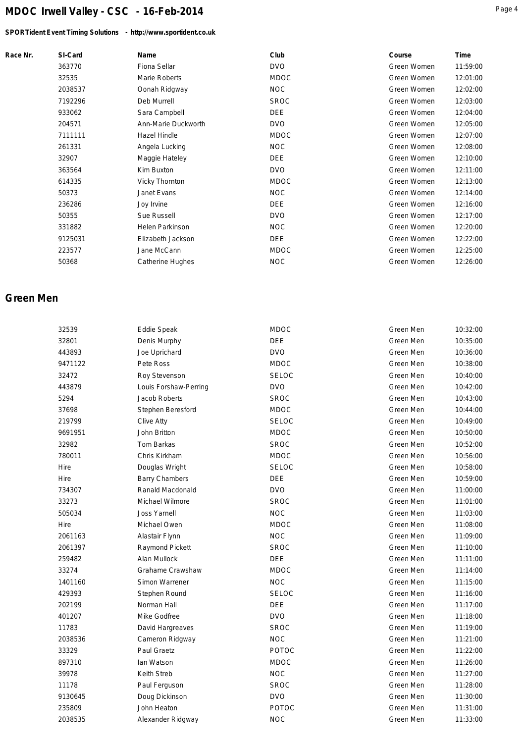### *SPORTident Event Timing Solutions - http://www.sportident.co.uk*

|--|--|

| Race Nr. | SI-Card | Name                   | Club        | Course      | Time     |
|----------|---------|------------------------|-------------|-------------|----------|
|          | 363770  | Fiona Sellar           | <b>DVO</b>  | Green Women | 11:59:00 |
|          | 32535   | Marie Roberts          | <b>MDOC</b> | Green Women | 12:01:00 |
|          | 2038537 | Oonah Ridgway          | <b>NOC</b>  | Green Women | 12:02:00 |
|          | 7192296 | Deb Murrell            | <b>SROC</b> | Green Women | 12:03:00 |
|          | 933062  | Sara Campbell          | DEE         | Green Women | 12:04:00 |
|          | 204571  | Ann-Marie Duckworth    | <b>DVO</b>  | Green Women | 12:05:00 |
|          | 7111111 | Hazel Hindle           | <b>MDOC</b> | Green Women | 12:07:00 |
|          | 261331  | Angela Lucking         | <b>NOC</b>  | Green Women | 12:08:00 |
|          | 32907   | Maggie Hateley         | <b>DEE</b>  | Green Women | 12:10:00 |
|          | 363564  | Kim Buxton             | <b>DVO</b>  | Green Women | 12:11:00 |
|          | 614335  | Vicky Thornton         | <b>MDOC</b> | Green Women | 12:13:00 |
|          | 50373   | Janet Evans            | <b>NOC</b>  | Green Women | 12:14:00 |
|          | 236286  | Joy Irvine             | <b>DEE</b>  | Green Women | 12:16:00 |
|          | 50355   | Sue Russell            | <b>DVO</b>  | Green Women | 12:17:00 |
|          | 331882  | <b>Helen Parkinson</b> | <b>NOC</b>  | Green Women | 12:20:00 |
|          | 9125031 | Elizabeth Jackson      | <b>DEE</b>  | Green Women | 12:22:00 |
|          | 223577  | Jane McCann            | <b>MDOC</b> | Green Women | 12:25:00 |
|          | 50368   | Catherine Hughes       | <b>NOC</b>  | Green Women | 12:26:00 |
|          |         |                        |             |             |          |

### **Green Men**

| 32539   | Eddie Speak           | <b>MDOC</b>  | Green Men | 10:32:00 |
|---------|-----------------------|--------------|-----------|----------|
| 32801   | Denis Murphy          | <b>DEE</b>   | Green Men | 10:35:00 |
| 443893  | Joe Uprichard         | <b>DVO</b>   | Green Men | 10:36:00 |
| 9471122 | Pete Ross             | <b>MDOC</b>  | Green Men | 10:38:00 |
| 32472   | Roy Stevenson         | <b>SELOC</b> | Green Men | 10:40:00 |
| 443879  | Louis Forshaw-Perring | <b>DVO</b>   | Green Men | 10:42:00 |
| 5294    | Jacob Roberts         | <b>SROC</b>  | Green Men | 10:43:00 |
| 37698   | Stephen Beresford     | MDOC         | Green Men | 10:44:00 |
| 219799  | Clive Atty            | SELOC        | Green Men | 10:49:00 |
| 9691951 | John Britton          | <b>MDOC</b>  | Green Men | 10:50:00 |
| 32982   | Tom Barkas            | <b>SROC</b>  | Green Men | 10:52:00 |
| 780011  | Chris Kirkham         | <b>MDOC</b>  | Green Men | 10:56:00 |
| Hire    | Douglas Wright        | <b>SELOC</b> | Green Men | 10:58:00 |
| Hire    | <b>Barry Chambers</b> | <b>DEE</b>   | Green Men | 10:59:00 |
| 734307  | Ranald Macdonald      | <b>DVO</b>   | Green Men | 11:00:00 |
| 33273   | Michael Wilmore       | <b>SROC</b>  | Green Men | 11:01:00 |
| 505034  | <b>Joss Yarnell</b>   | <b>NOC</b>   | Green Men | 11:03:00 |
| Hire    | Michael Owen          | <b>MDOC</b>  | Green Men | 11:08:00 |
| 2061163 | Alastair Flynn        | <b>NOC</b>   | Green Men | 11:09:00 |
| 2061397 | Raymond Pickett       | <b>SROC</b>  | Green Men | 11:10:00 |
| 259482  | Alan Mullock          | <b>DEE</b>   | Green Men | 11:11:00 |
| 33274   | Grahame Crawshaw      | <b>MDOC</b>  | Green Men | 11:14:00 |
| 1401160 | Simon Warrener        | <b>NOC</b>   | Green Men | 11:15:00 |
| 429393  | Stephen Round         | <b>SELOC</b> | Green Men | 11:16:00 |
| 202199  | Norman Hall           | <b>DEE</b>   | Green Men | 11:17:00 |
| 401207  | Mike Godfree          | <b>DVO</b>   | Green Men | 11:18:00 |
| 11783   | David Hargreaves      | <b>SROC</b>  | Green Men | 11:19:00 |
| 2038536 | Cameron Ridgway       | <b>NOC</b>   | Green Men | 11:21:00 |
| 33329   | Paul Graetz           | <b>POTOC</b> | Green Men | 11:22:00 |
| 897310  | lan Watson            | <b>MDOC</b>  | Green Men | 11:26:00 |
| 39978   | Keith Streb           | <b>NOC</b>   | Green Men | 11:27:00 |
| 11178   | Paul Ferguson         | <b>SROC</b>  | Green Men | 11:28:00 |
| 9130645 | Doug Dickinson        | <b>DVO</b>   | Green Men | 11:30:00 |
| 235809  | John Heaton           | POTOC        | Green Men | 11:31:00 |
| 2038535 | Alexander Ridgway     | <b>NOC</b>   | Green Men | 11:33:00 |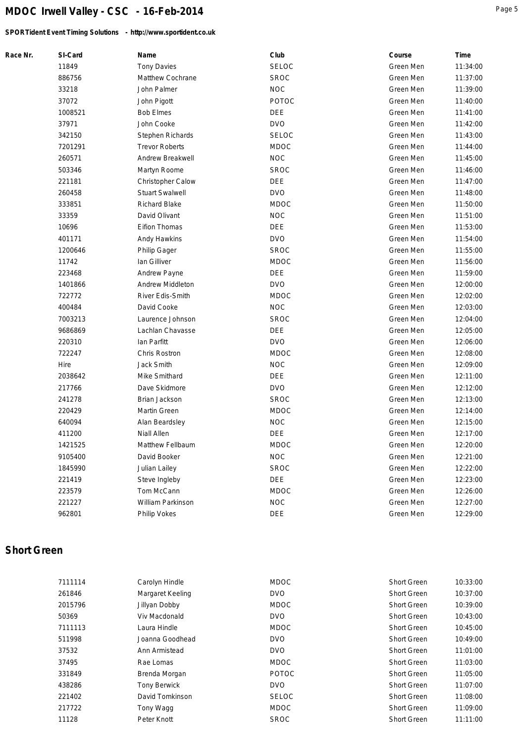*SPORTident Event Timing Solutions - http://www.sportident.co.uk*

| Race Nr. | SI-Card | Name                    | Club         | Course    | Time     |
|----------|---------|-------------------------|--------------|-----------|----------|
|          | 11849   | <b>Tony Davies</b>      | SELOC        | Green Men | 11:34:00 |
|          | 886756  | Matthew Cochrane        | <b>SROC</b>  | Green Men | 11:37:00 |
|          | 33218   | John Palmer             | <b>NOC</b>   | Green Men | 11:39:00 |
|          | 37072   | John Pigott             | <b>POTOC</b> | Green Men | 11:40:00 |
|          | 1008521 | <b>Bob Elmes</b>        | <b>DEE</b>   | Green Men | 11:41:00 |
|          | 37971   | John Cooke              | <b>DVO</b>   | Green Men | 11:42:00 |
|          | 342150  | Stephen Richards        | <b>SELOC</b> | Green Men | 11:43:00 |
|          | 7201291 | <b>Trevor Roberts</b>   | <b>MDOC</b>  | Green Men | 11:44:00 |
|          | 260571  | Andrew Breakwell        | <b>NOC</b>   | Green Men | 11:45:00 |
|          | 503346  | Martyn Roome            | <b>SROC</b>  | Green Men | 11:46:00 |
|          | 221181  | Christopher Calow       | <b>DEE</b>   | Green Men | 11:47:00 |
|          | 260458  | <b>Stuart Swalwell</b>  | <b>DVO</b>   | Green Men | 11:48:00 |
|          | 333851  | <b>Richard Blake</b>    | <b>MDOC</b>  | Green Men | 11:50:00 |
|          | 33359   | David Olivant           | <b>NOC</b>   | Green Men | 11:51:00 |
|          | 10696   | Eifion Thomas           | DEE          | Green Men | 11:53:00 |
|          | 401171  | Andy Hawkins            | <b>DVO</b>   | Green Men | 11:54:00 |
|          | 1200646 | Philip Gager            | <b>SROC</b>  | Green Men | 11:55:00 |
|          | 11742   | lan Gilliver            | <b>MDOC</b>  | Green Men | 11:56:00 |
|          | 223468  | Andrew Payne            | <b>DEE</b>   | Green Men | 11:59:00 |
|          | 1401866 | <b>Andrew Middleton</b> | <b>DVO</b>   | Green Men | 12:00:00 |
|          | 722772  | River Edis-Smith        | <b>MDOC</b>  | Green Men | 12:02:00 |
|          | 400484  | David Cooke             | <b>NOC</b>   | Green Men | 12:03:00 |
|          | 7003213 | Laurence Johnson        | <b>SROC</b>  | Green Men | 12:04:00 |
|          | 9686869 | Lachlan Chavasse        | DEE          | Green Men | 12:05:00 |
|          | 220310  | lan Parfitt             | <b>DVO</b>   | Green Men | 12:06:00 |
|          | 722247  | Chris Rostron           | <b>MDOC</b>  | Green Men | 12:08:00 |
|          | Hire    | Jack Smith              | <b>NOC</b>   | Green Men | 12:09:00 |
|          | 2038642 | Mike Smithard           | DEE          | Green Men | 12:11:00 |
|          | 217766  | Dave Skidmore           | <b>DVO</b>   | Green Men | 12:12:00 |
|          | 241278  | Brian Jackson           | <b>SROC</b>  | Green Men | 12:13:00 |
|          | 220429  | Martin Green            | <b>MDOC</b>  | Green Men | 12:14:00 |
|          | 640094  | Alan Beardsley          | <b>NOC</b>   | Green Men | 12:15:00 |
|          | 411200  | <b>Niall Allen</b>      | DEE          | Green Men | 12:17:00 |
|          | 1421525 | Matthew Fellbaum        | <b>MDOC</b>  | Green Men | 12:20:00 |
|          | 9105400 | David Booker            | <b>NOC</b>   | Green Men | 12:21:00 |
|          | 1845990 | Julian Lailey           | <b>SROC</b>  | Green Men | 12:22:00 |
|          | 221419  | Steve Ingleby           | DEE          | Green Men | 12:23:00 |
|          | 223579  | Tom McCann              | <b>MDOC</b>  | Green Men | 12:26:00 |
|          | 221227  | William Parkinson       | <b>NOC</b>   | Green Men | 12:27:00 |
|          | 962801  | Philip Vokes            | DEE          | Green Men | 12:29:00 |

## **Short Green**

| 7111114 | Carolyn Hindle      | <b>MDOC</b>  | <b>Short Green</b> | 10:33:00 |
|---------|---------------------|--------------|--------------------|----------|
| 261846  | Margaret Keeling    | <b>DVO</b>   | <b>Short Green</b> | 10:37:00 |
| 2015796 | Jillyan Dobby       | <b>MDOC</b>  | <b>Short Green</b> | 10:39:00 |
| 50369   | Viv Macdonald       | <b>DVO</b>   | <b>Short Green</b> | 10:43:00 |
| 7111113 | Laura Hindle        | <b>MDOC</b>  | <b>Short Green</b> | 10:45:00 |
| 511998  | Joanna Goodhead     | <b>DVO</b>   | <b>Short Green</b> | 10:49:00 |
| 37532   | Ann Armistead       | <b>DVO</b>   | <b>Short Green</b> | 11:01:00 |
| 37495   | Rae Lomas           | <b>MDOC</b>  | <b>Short Green</b> | 11:03:00 |
| 331849  | Brenda Morgan       | POTOC        | <b>Short Green</b> | 11:05:00 |
| 438286  | <b>Tony Berwick</b> | <b>DVO</b>   | <b>Short Green</b> | 11:07:00 |
| 221402  | David Tomkinson     | <b>SELOC</b> | <b>Short Green</b> | 11:08:00 |
| 217722  | Tony Wagg           | <b>MDOC</b>  | <b>Short Green</b> | 11:09:00 |
| 11128   | Peter Knott         | <b>SROC</b>  | <b>Short Green</b> | 11:11:00 |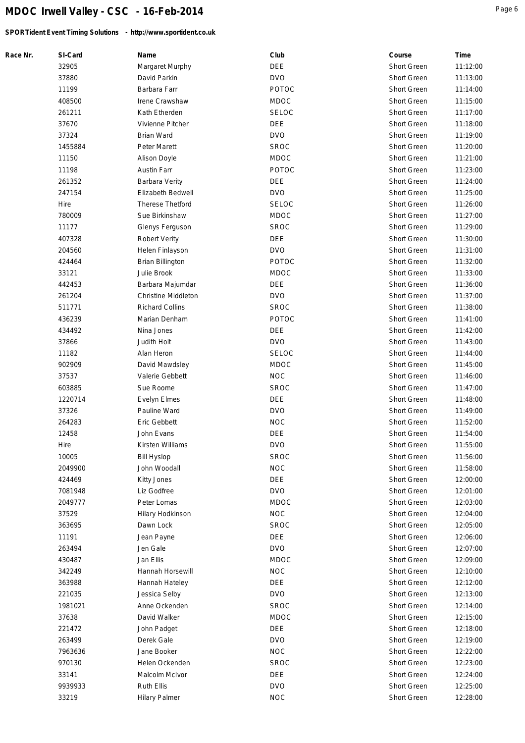*SPORTident Event Timing Solutions - http://www.sportident.co.uk*

| Race Nr. | SI-Card         | Name                              | Club                      | Course             | Time     |
|----------|-----------------|-----------------------------------|---------------------------|--------------------|----------|
|          | 32905           | Margaret Murphy                   | <b>DEE</b>                | Short Green        | 11:12:00 |
|          | 37880           | David Parkin                      | <b>DVO</b>                | Short Green        | 11:13:00 |
|          | 11199           | Barbara Farr                      | POTOC                     | Short Green        | 11:14:00 |
|          | 408500          | Irene Crawshaw                    | <b>MDOC</b>               | Short Green        | 11:15:00 |
|          | 261211          | Kath Etherden                     | <b>SELOC</b>              | Short Green        | 11:17:00 |
|          | 37670           | Vivienne Pitcher                  | DEE                       | Short Green        | 11:18:00 |
|          | 37324           | <b>Brian Ward</b>                 | <b>DVO</b>                | Short Green        | 11:19:00 |
|          | 1455884         | Peter Marett                      | <b>SROC</b>               | Short Green        | 11:20:00 |
|          | 11150           | Alison Doyle                      | <b>MDOC</b>               | Short Green        | 11:21:00 |
|          | 11198           | Austin Farr                       | POTOC                     | Short Green        | 11:23:00 |
|          | 261352          | Barbara Verity                    | <b>DEE</b>                | Short Green        | 11:24:00 |
|          | 247154          | Elizabeth Bedwell                 | <b>DVO</b>                | Short Green        | 11:25:00 |
|          | Hire            | Therese Thetford                  | <b>SELOC</b>              | Short Green        | 11:26:00 |
|          | 780009          | Sue Birkinshaw                    | <b>MDOC</b>               | Short Green        | 11:27:00 |
|          | 11177           | Glenys Ferguson                   | <b>SROC</b>               | Short Green        | 11:29:00 |
|          | 407328          | <b>Robert Verity</b>              | DEE                       | Short Green        | 11:30:00 |
|          | 204560          | Helen Finlayson                   | <b>DVO</b>                | Short Green        | 11:31:00 |
|          | 424464          | <b>Brian Billington</b>           | POTOC                     | Short Green        | 11:32:00 |
|          | 33121           | Julie Brook                       | <b>MDOC</b>               | Short Green        | 11:33:00 |
|          | 442453          | Barbara Majumdar                  | <b>DEE</b>                | Short Green        | 11:36:00 |
|          | 261204          | Christine Middleton               | <b>DVO</b>                | Short Green        | 11:37:00 |
|          | 511771          | <b>Richard Collins</b>            | <b>SROC</b>               | Short Green        | 11:38:00 |
|          | 436239          | Marian Denham                     | <b>POTOC</b>              | Short Green        | 11:41:00 |
|          | 434492          | Nina Jones                        | <b>DEE</b>                | Short Green        | 11:42:00 |
|          | 37866           | Judith Holt                       | <b>DVO</b>                | Short Green        | 11:43:00 |
|          | 11182           |                                   | <b>SELOC</b>              | Short Green        |          |
|          |                 | Alan Heron                        |                           |                    | 11:44:00 |
|          | 902909<br>37537 | David Mawdsley<br>Valerie Gebbett | <b>MDOC</b><br><b>NOC</b> | Short Green        | 11:45:00 |
|          |                 |                                   |                           | Short Green        | 11:46:00 |
|          | 603885          | Sue Roome                         | <b>SROC</b>               | Short Green        | 11:47:00 |
|          | 1220714         | Evelyn Elmes                      | DEE                       | Short Green        | 11:48:00 |
|          | 37326           | Pauline Ward                      | <b>DVO</b>                | Short Green        | 11:49:00 |
|          | 264283          | Eric Gebbett                      | <b>NOC</b>                | Short Green        | 11:52:00 |
|          | 12458           | John Evans                        | DEE                       | Short Green        | 11:54:00 |
|          | Hire            | Kirsten Williams                  | <b>DVO</b>                | Short Green        | 11:55:00 |
|          | 10005           | <b>Bill Hyslop</b>                | <b>SROC</b>               | Short Green        | 11:56:00 |
|          | 2049900         | John Woodall                      | <b>NOC</b>                | Short Green        | 11:58:00 |
|          | 424469          | Kitty Jones                       | <b>DEE</b>                | Short Green        | 12:00:00 |
|          | 7081948         | Liz Godfree                       | <b>DVO</b>                | Short Green        | 12:01:00 |
|          | 2049777         | Peter Lomas                       | <b>MDOC</b>               | Short Green        | 12:03:00 |
|          | 37529           | Hilary Hodkinson                  | <b>NOC</b>                | Short Green        | 12:04:00 |
|          | 363695          | Dawn Lock                         | <b>SROC</b>               | Short Green        | 12:05:00 |
|          | 11191           | Jean Payne                        | <b>DEE</b>                | Short Green        | 12:06:00 |
|          | 263494          | Jen Gale                          | <b>DVO</b>                | <b>Short Green</b> | 12:07:00 |
|          | 430487          | Jan Ellis                         | <b>MDOC</b>               | <b>Short Green</b> | 12:09:00 |
|          | 342249          | Hannah Horsewill                  | <b>NOC</b>                | Short Green        | 12:10:00 |
|          | 363988          | Hannah Hateley                    | DEE                       | Short Green        | 12:12:00 |
|          | 221035          | Jessica Selby                     | <b>DVO</b>                | Short Green        | 12:13:00 |
|          | 1981021         | Anne Ockenden                     | <b>SROC</b>               | Short Green        | 12:14:00 |
|          | 37638           | David Walker                      | <b>MDOC</b>               | Short Green        | 12:15:00 |
|          | 221472          | John Padget                       | <b>DEE</b>                | Short Green        | 12:18:00 |
|          | 263499          | Derek Gale                        | <b>DVO</b>                | Short Green        | 12:19:00 |
|          | 7963636         | Jane Booker                       | <b>NOC</b>                | Short Green        | 12:22:00 |
|          | 970130          | Helen Ockenden                    | <b>SROC</b>               | Short Green        | 12:23:00 |
|          | 33141           | Malcolm McIvor                    | DEE                       | Short Green        | 12:24:00 |
|          | 9939933         | Ruth Ellis                        | <b>DVO</b>                | Short Green        | 12:25:00 |
|          | 33219           | <b>Hilary Palmer</b>              | <b>NOC</b>                | Short Green        | 12:28:00 |